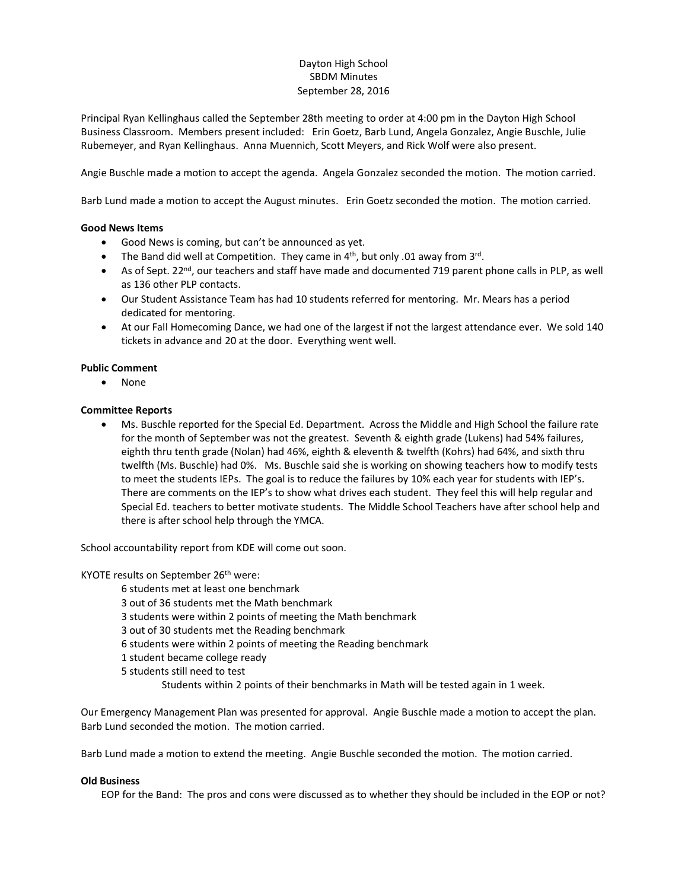# Dayton High School SBDM Minutes September 28, 2016

Principal Ryan Kellinghaus called the September 28th meeting to order at 4:00 pm in the Dayton High School Business Classroom. Members present included: Erin Goetz, Barb Lund, Angela Gonzalez, Angie Buschle, Julie Rubemeyer, and Ryan Kellinghaus. Anna Muennich, Scott Meyers, and Rick Wolf were also present.

Angie Buschle made a motion to accept the agenda. Angela Gonzalez seconded the motion. The motion carried.

Barb Lund made a motion to accept the August minutes. Erin Goetz seconded the motion. The motion carried.

## **Good News Items**

- Good News is coming, but can't be announced as yet.
- The Band did well at Competition. They came in  $4<sup>th</sup>$ , but only .01 away from  $3<sup>rd</sup>$ .
- As of Sept. 22<sup>nd</sup>, our teachers and staff have made and documented 719 parent phone calls in PLP, as well as 136 other PLP contacts.
- Our Student Assistance Team has had 10 students referred for mentoring. Mr. Mears has a period dedicated for mentoring.
- At our Fall Homecoming Dance, we had one of the largest if not the largest attendance ever. We sold 140 tickets in advance and 20 at the door. Everything went well.

## **Public Comment**

None

## **Committee Reports**

 Ms. Buschle reported for the Special Ed. Department. Across the Middle and High School the failure rate for the month of September was not the greatest. Seventh & eighth grade (Lukens) had 54% failures, eighth thru tenth grade (Nolan) had 46%, eighth & eleventh & twelfth (Kohrs) had 64%, and sixth thru twelfth (Ms. Buschle) had 0%. Ms. Buschle said she is working on showing teachers how to modify tests to meet the students IEPs. The goal is to reduce the failures by 10% each year for students with IEP's. There are comments on the IEP's to show what drives each student. They feel this will help regular and Special Ed. teachers to better motivate students. The Middle School Teachers have after school help and there is after school help through the YMCA.

School accountability report from KDE will come out soon.

## KYOTE results on September 26<sup>th</sup> were:

- 6 students met at least one benchmark
- 3 out of 36 students met the Math benchmark
- 3 students were within 2 points of meeting the Math benchmark
- 3 out of 30 students met the Reading benchmark
- 6 students were within 2 points of meeting the Reading benchmark
- 1 student became college ready
- 5 students still need to test
	- Students within 2 points of their benchmarks in Math will be tested again in 1 week.

Our Emergency Management Plan was presented for approval. Angie Buschle made a motion to accept the plan. Barb Lund seconded the motion. The motion carried.

Barb Lund made a motion to extend the meeting. Angie Buschle seconded the motion. The motion carried.

## **Old Business**

EOP for the Band: The pros and cons were discussed as to whether they should be included in the EOP or not?